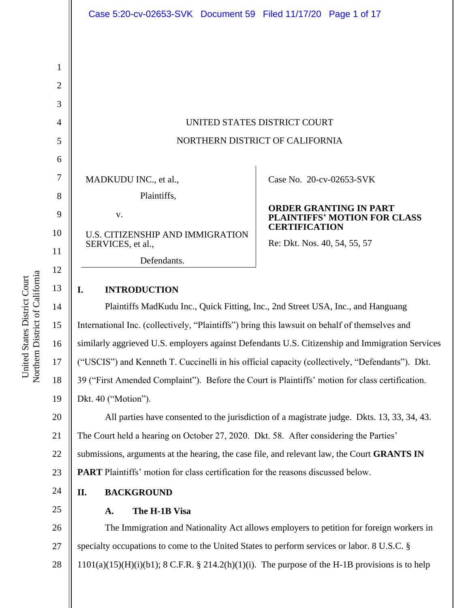|                | Case 5:20-cv-02653-SVK Document 59 Filed 11/17/20 Page 1 of 17                   |                                                                                       |
|----------------|----------------------------------------------------------------------------------|---------------------------------------------------------------------------------------|
|                |                                                                                  |                                                                                       |
|                |                                                                                  |                                                                                       |
| 1              |                                                                                  |                                                                                       |
| $\overline{2}$ |                                                                                  |                                                                                       |
| 3              |                                                                                  |                                                                                       |
| $\overline{4}$ | UNITED STATES DISTRICT COURT                                                     |                                                                                       |
| 5              | NORTHERN DISTRICT OF CALIFORNIA                                                  |                                                                                       |
| 6              |                                                                                  |                                                                                       |
| $\overline{7}$ | MADKUDU INC., et al.,                                                            | Case No. 20-cv-02653-SVK                                                              |
| 8              | Plaintiffs,                                                                      |                                                                                       |
| 9              | V.                                                                               | <b>ORDER GRANTING IN PART</b><br>PLAINTIFFS' MOTION FOR CLASS<br><b>CERTIFICATION</b> |
| 10             | U.S. CITIZENSHIP AND IMMIGRATION                                                 |                                                                                       |
| 11             | SERVICES, et al.,                                                                | Re: Dkt. Nos. 40, 54, 55, 57                                                          |
| 12             | Defendants.                                                                      |                                                                                       |
| 13             | I.<br><b>INTRODUCTION</b>                                                        |                                                                                       |
| 14             | Plaintiffs MadKudu Inc., Quick Fitting, Inc., 2nd Street USA, Inc., and Hanguang |                                                                                       |
|                |                                                                                  |                                                                                       |

Northern District of California Northern District of California United States District Court United States District Court

13 14 15 16 17 18 19 20 21 22 23 24 25 International Inc. (collectively, "Plaintiffs") bring this lawsuit on behalf of themselves and similarly aggrieved U.S. employers against Defendants U.S. Citizenship and Immigration Services ("USCIS") and Kenneth T. Cuccinelli in his official capacity (collectively, "Defendants"). Dkt. 39 ("First Amended Complaint"). Before the Court is Plaintiffs' motion for class certification. Dkt. 40 ("Motion"). All parties have consented to the jurisdiction of a magistrate judge. Dkts. 13, 33, 34, 43. The Court held a hearing on October 27, 2020. Dkt. 58. After considering the Parties' submissions, arguments at the hearing, the case file, and relevant law, the Court **GRANTS IN PART** Plaintiffs' motion for class certification for the reasons discussed below. **II. BACKGROUND A. The H-1B Visa**

26 27 The Immigration and Nationality Act allows employers to petition for foreign workers in specialty occupations to come to the United States to perform services or labor. 8 U.S.C. §  $1101(a)(15)(H)(i)(b1); 8 C.F.R. § 214.2(h)(1)(i).$  The purpose of the H-1B provisions is to help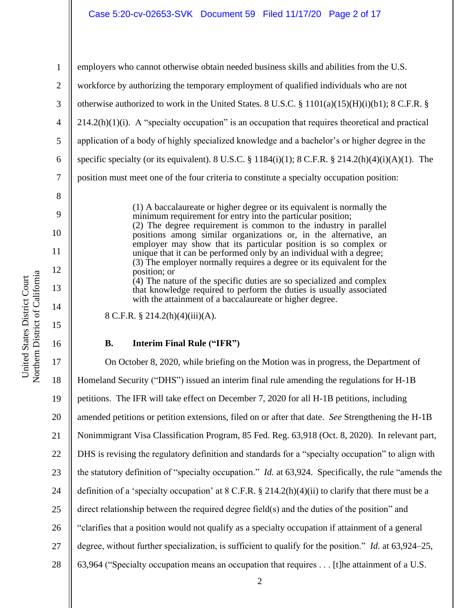11

12

13

14

15

16

1

employers who cannot otherwise obtain needed business skills and abilities from the U.S. workforce by authorizing the temporary employment of qualified individuals who are not otherwise authorized to work in the United States. 8 U.S.C. § 1101(a)(15)(H)(i)(b1); 8 C.F.R. §  $214.2(h)(1)(i)$ . A "specialty occupation" is an occupation that requires theoretical and practical application of a body of highly specialized knowledge and a bachelor's or higher degree in the specific specialty (or its equivalent). 8 U.S.C. § 1184(i)(1); 8 C.F.R. § 214.2(h)(4)(i)(A)(1). The position must meet one of the four criteria to constitute a specialty occupation position:

> (1) A baccalaureate or higher degree or its equivalent is normally the minimum requirement for entry into the particular position; (2) The degree requirement is common to the industry in parallel positions among similar organizations or, in the alternative, an employer may show that its particular position is so complex or unique that it can be performed only by an individual with a degree; (3) The employer normally requires a degree or its equivalent for the position; or  $(4)$  The nature of the specific duties are so specialized and complex that knowledge required to perform the duties is usually associated with the attainment of a baccalaureate or higher degree.

8 C.F.R. § 214.2(h)(4)(iii)(A).

### **B. Interim Final Rule ("IFR")**

17 18 19 20 21 22 23 24 25 26 27 28 On October 8, 2020, while briefing on the Motion was in progress, the Department of Homeland Security ("DHS") issued an interim final rule amending the regulations for H-1B petitions. The IFR will take effect on December 7, 2020 for all H-1B petitions, including amended petitions or petition extensions, filed on or after that date. *See* Strengthening the H-1B Nonimmigrant Visa Classification Program, 85 Fed. Reg. 63,918 (Oct. 8, 2020). In relevant part, DHS is revising the regulatory definition and standards for a "specialty occupation" to align with the statutory definition of "specialty occupation." *Id.* at 63,924. Specifically, the rule "amends the definition of a 'specialty occupation' at  $8 \text{ C.F.R.}$   $\S 214.2(h)(4)(ii)$  to clarify that there must be a direct relationship between the required degree field(s) and the duties of the position" and "clarifies that a position would not qualify as a specialty occupation if attainment of a general degree, without further specialization, is sufficient to qualify for the position." *Id.* at 63,924–25, 63,964 ("Specialty occupation means an occupation that requires . . . [t]he attainment of a U.S.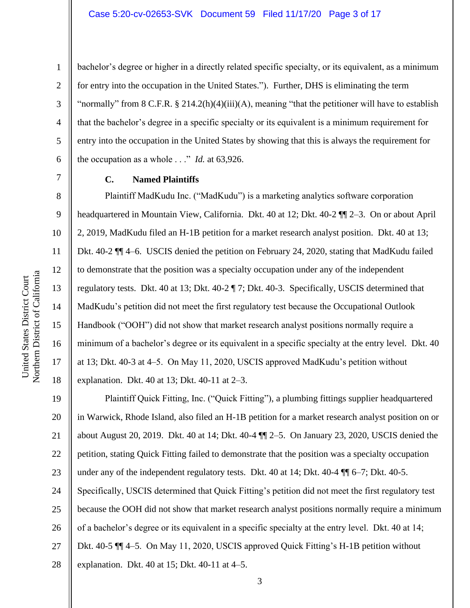bachelor's degree or higher in a directly related specific specialty, or its equivalent, as a minimum for entry into the occupation in the United States."). Further, DHS is eliminating the term "normally" from 8 C.F.R. § 214.2(h)(4)(iii)(A), meaning "that the petitioner will have to establish that the bachelor's degree in a specific specialty or its equivalent is a minimum requirement for entry into the occupation in the United States by showing that this is always the requirement for the occupation as a whole . . ." *Id.* at 63,926.

### **C. Named Plaintiffs**

Plaintiff MadKudu Inc. ("MadKudu") is a marketing analytics software corporation headquartered in Mountain View, California. Dkt. 40 at 12; Dkt. 40-2  $\P$  2–3. On or about April 2, 2019, MadKudu filed an H-1B petition for a market research analyst position. Dkt. 40 at 13; Dkt. 40-2 ¶¶ 4–6. USCIS denied the petition on February 24, 2020, stating that MadKudu failed to demonstrate that the position was a specialty occupation under any of the independent regulatory tests. Dkt. 40 at 13; Dkt. 40-2 ¶ 7; Dkt. 40-3. Specifically, USCIS determined that MadKudu's petition did not meet the first regulatory test because the Occupational Outlook Handbook ("OOH") did not show that market research analyst positions normally require a minimum of a bachelor's degree or its equivalent in a specific specialty at the entry level. Dkt. 40 at 13; Dkt. 40-3 at 4–5. On May 11, 2020, USCIS approved MadKudu's petition without explanation. Dkt. 40 at 13; Dkt. 40-11 at 2–3.

19 20 21 22 23 24 25 26 27 28 Plaintiff Quick Fitting, Inc. ("Quick Fitting"), a plumbing fittings supplier headquartered in Warwick, Rhode Island, also filed an H-1B petition for a market research analyst position on or about August 20, 2019. Dkt. 40 at 14; Dkt. 40-4 ¶¶ 2–5. On January 23, 2020, USCIS denied the petition, stating Quick Fitting failed to demonstrate that the position was a specialty occupation under any of the independent regulatory tests. Dkt. 40 at 14; Dkt. 40-4  $\P$  6–7; Dkt. 40-5. Specifically, USCIS determined that Quick Fitting's petition did not meet the first regulatory test because the OOH did not show that market research analyst positions normally require a minimum of a bachelor's degree or its equivalent in a specific specialty at the entry level. Dkt. 40 at 14; Dkt. 40-5 ¶¶ 4–5. On May 11, 2020, USCIS approved Quick Fitting's H-1B petition without explanation. Dkt. 40 at 15; Dkt. 40-11 at 4–5.

1

2

3

4

5

6

7

8

9

10

11

12

13

14

15

16

17

18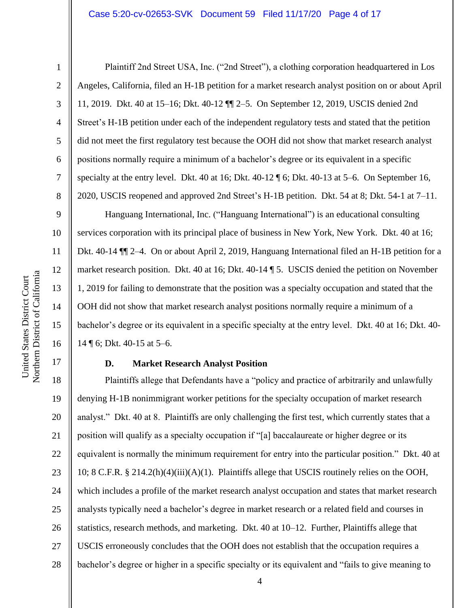#### Case 5:20-cv-02653-SVK Document 59 Filed 11/17/20 Page 4 of 17

1

2

3

4

5

6

7

8

9

10

11

12

13

14

15

16

17

Plaintiff 2nd Street USA, Inc. ("2nd Street"), a clothing corporation headquartered in Los Angeles, California, filed an H-1B petition for a market research analyst position on or about April 11, 2019. Dkt. 40 at 15–16; Dkt. 40-12 ¶¶ 2–5. On September 12, 2019, USCIS denied 2nd Street's H-1B petition under each of the independent regulatory tests and stated that the petition did not meet the first regulatory test because the OOH did not show that market research analyst positions normally require a minimum of a bachelor's degree or its equivalent in a specific specialty at the entry level. Dkt. 40 at 16; Dkt.  $40-12 \text{ }\frac{\pi}{6}$ ; Dkt.  $40-13$  at  $5-6$ . On September 16, 2020, USCIS reopened and approved 2nd Street's H-1B petition. Dkt. 54 at 8; Dkt. 54-1 at 7–11.

Hanguang International, Inc. ("Hanguang International") is an educational consulting services corporation with its principal place of business in New York, New York. Dkt. 40 at 16; Dkt. 40-14 ¶¶ 2–4. On or about April 2, 2019, Hanguang International filed an H-1B petition for a market research position. Dkt. 40 at 16; Dkt. 40-14 ¶ 5. USCIS denied the petition on November 1, 2019 for failing to demonstrate that the position was a specialty occupation and stated that the OOH did not show that market research analyst positions normally require a minimum of a bachelor's degree or its equivalent in a specific specialty at the entry level. Dkt. 40 at 16; Dkt. 40- 14 ¶ 6; Dkt. 40-15 at 5–6.

### **D. Market Research Analyst Position**

18 19 20 21 22 23 24 25 26 27 28 Plaintiffs allege that Defendants have a "policy and practice of arbitrarily and unlawfully denying H-1B nonimmigrant worker petitions for the specialty occupation of market research analyst." Dkt. 40 at 8. Plaintiffs are only challenging the first test, which currently states that a position will qualify as a specialty occupation if "[a] baccalaureate or higher degree or its equivalent is normally the minimum requirement for entry into the particular position." Dkt. 40 at 10; 8 C.F.R. § 214.2(h)(4)(iii)(A)(1). Plaintiffs allege that USCIS routinely relies on the OOH, which includes a profile of the market research analyst occupation and states that market research analysts typically need a bachelor's degree in market research or a related field and courses in statistics, research methods, and marketing. Dkt. 40 at 10–12. Further, Plaintiffs allege that USCIS erroneously concludes that the OOH does not establish that the occupation requires a bachelor's degree or higher in a specific specialty or its equivalent and "fails to give meaning to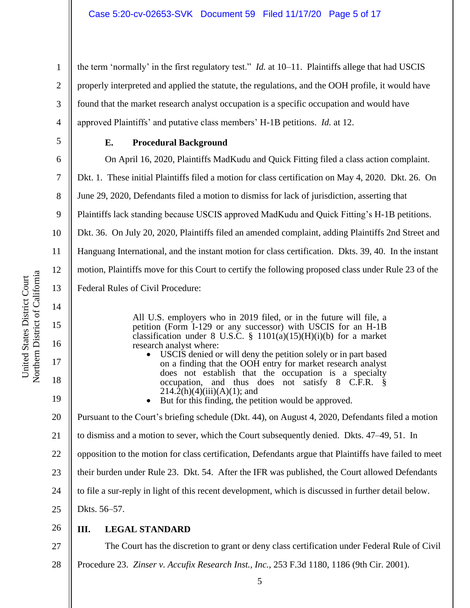the term 'normally' in the first regulatory test." *Id.* at 10–11. Plaintiffs allege that had USCIS properly interpreted and applied the statute, the regulations, and the OOH profile, it would have found that the market research analyst occupation is a specific occupation and would have approved Plaintiffs' and putative class members' H-1B petitions. *Id.* at 12.

5 6

7

8

11

12

13

14

15

16

17

18

19

20

1

2

3

4

# **E. Procedural Background**

On April 16, 2020, Plaintiffs MadKudu and Quick Fitting filed a class action complaint.

Dkt. 1. These initial Plaintiffs filed a motion for class certification on May 4, 2020. Dkt. 26. On

June 29, 2020, Defendants filed a motion to dismiss for lack of jurisdiction, asserting that

9 Plaintiffs lack standing because USCIS approved MadKudu and Quick Fitting's H-1B petitions.

10 Dkt. 36. On July 20, 2020, Plaintiffs filed an amended complaint, adding Plaintiffs 2nd Street and

Hanguang International, and the instant motion for class certification. Dkts. 39, 40. In the instant

motion, Plaintiffs move for this Court to certify the following proposed class under Rule 23 of the

Federal Rules of Civil Procedure:

All U.S. employers who in 2019 filed, or in the future will file, a petition (Form I-129 or any successor) with USCIS for an H-1B classification under 8 U.S.C. §  $1101(a)(15)(H)(i)(b)$  for a market research analyst where:

• USCIS denied or will deny the petition solely or in part based on a finding that the OOH entry for market research analyst does not establish that the occupation is a specialty occupation, and thus does not satisfy 8 C.F.R. §  $214.2(h)(4)(iii)(A)(1)$ ; and

• But for this finding, the petition would be approved.

Pursuant to the Court's briefing schedule (Dkt. 44), on August 4, 2020, Defendants filed a motion

21 to dismiss and a motion to sever, which the Court subsequently denied. Dkts. 47–49, 51. In

22 opposition to the motion for class certification, Defendants argue that Plaintiffs have failed to meet

23 their burden under Rule 23. Dkt. 54. After the IFR was published, the Court allowed Defendants

24 to file a sur-reply in light of this recent development, which is discussed in further detail below.

25 Dkts. 56–57.

26 **III. LEGAL STANDARD**

27 28 The Court has the discretion to grant or deny class certification under Federal Rule of Civil Procedure 23. *Zinser v. Accufix Research Inst., Inc.*, 253 F.3d 1180, 1186 (9th Cir. 2001).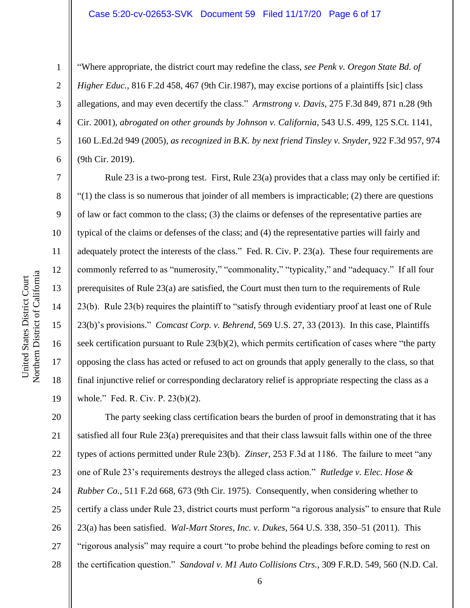#### Case 5:20-cv-02653-SVK Document 59 Filed 11/17/20 Page 6 of 17

1

2

3

4

5

6

7

8

9

10

11

12

13

14

15

16

17

18

19

"Where appropriate, the district court may redefine the class, *see Penk v. Oregon State Bd. of Higher Educ.*, 816 F.2d 458, 467 (9th Cir.1987), may excise portions of a plaintiffs [sic] class allegations, and may even decertify the class." *Armstrong v. Davis*, 275 F.3d 849, 871 n.28 (9th Cir. 2001), *abrogated on other grounds by Johnson v. California*, 543 U.S. 499, 125 S.Ct. 1141, 160 L.Ed.2d 949 (2005), *as recognized in B.K. by next friend Tinsley v. Snyder*, 922 F.3d 957, 974 (9th Cir. 2019).

Rule 23 is a two-prong test. First, Rule 23(a) provides that a class may only be certified if:  $(1)$  the class is so numerous that joinder of all members is impracticable; (2) there are questions of law or fact common to the class; (3) the claims or defenses of the representative parties are typical of the claims or defenses of the class; and (4) the representative parties will fairly and adequately protect the interests of the class." Fed. R. Civ. P. 23(a). These four requirements are commonly referred to as "numerosity," "commonality," "typicality," and "adequacy." If all four prerequisites of Rule 23(a) are satisfied, the Court must then turn to the requirements of Rule 23(b). Rule 23(b) requires the plaintiff to "satisfy through evidentiary proof at least one of Rule 23(b)'s provisions." *Comcast Corp. v. Behrend*, 569 U.S. 27, 33 (2013). In this case, Plaintiffs seek certification pursuant to Rule 23(b)(2), which permits certification of cases where "the party opposing the class has acted or refused to act on grounds that apply generally to the class, so that final injunctive relief or corresponding declaratory relief is appropriate respecting the class as a whole." Fed. R. Civ. P. 23(b)(2).

20 21 22 23 24 25 26 27 28 The party seeking class certification bears the burden of proof in demonstrating that it has satisfied all four Rule 23(a) prerequisites and that their class lawsuit falls within one of the three types of actions permitted under Rule 23(b). *Zinser*, 253 F.3d at 1186. The failure to meet "any one of Rule 23's requirements destroys the alleged class action." *Rutledge v. Elec. Hose & Rubber Co.*, 511 F.2d 668, 673 (9th Cir. 1975). Consequently, when considering whether to certify a class under Rule 23, district courts must perform "a rigorous analysis" to ensure that Rule 23(a) has been satisfied. *Wal-Mart Stores, Inc. v. Dukes*, 564 U.S. 338, 350–51 (2011). This "rigorous analysis" may require a court "to probe behind the pleadings before coming to rest on the certification question." *Sandoval v. M1 Auto Collisions Ctrs.*, 309 F.R.D. 549, 560 (N.D. Cal.

Northern District of California Northern District of California United States District Court United States District Court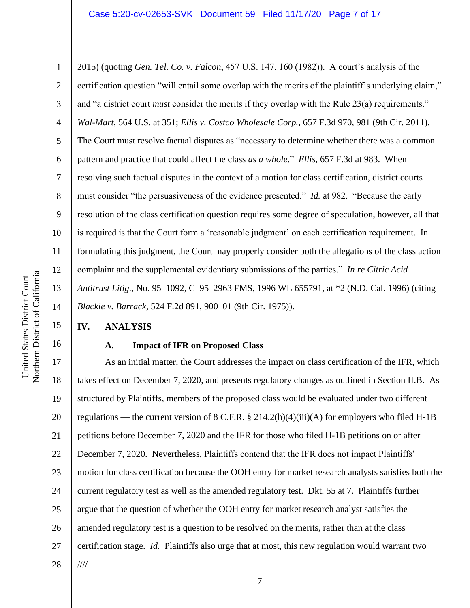2015) (quoting *Gen. Tel. Co. v. Falcon*, 457 U.S. 147, 160 (1982)). A court's analysis of the certification question "will entail some overlap with the merits of the plaintiff's underlying claim," and "a district court *must* consider the merits if they overlap with the Rule 23(a) requirements." *Wal-Mart*, 564 U.S. at 351; *Ellis v. Costco Wholesale Corp.*, 657 F.3d 970, 981 (9th Cir. 2011). The Court must resolve factual disputes as "necessary to determine whether there was a common pattern and practice that could affect the class *as a whole*." *Ellis*, 657 F.3d at 983. When resolving such factual disputes in the context of a motion for class certification, district courts must consider "the persuasiveness of the evidence presented." *Id.* at 982. "Because the early resolution of the class certification question requires some degree of speculation, however, all that is required is that the Court form a 'reasonable judgment' on each certification requirement. In formulating this judgment, the Court may properly consider both the allegations of the class action complaint and the supplemental evidentiary submissions of the parties." *In re Citric Acid Antitrust Litig.*, No. 95–1092, C–95–2963 FMS, 1996 WL 655791, at \*2 (N.D. Cal. 1996) (citing *Blackie v. Barrack*, 524 F.2d 891, 900–01 (9th Cir. 1975)).

### **IV. ANALYSIS**

### **A. Impact of IFR on Proposed Class**

17 18 19 20 21 22 23 24 25 26 27 28 As an initial matter, the Court addresses the impact on class certification of the IFR, which takes effect on December 7, 2020, and presents regulatory changes as outlined in Section II.B. As structured by Plaintiffs, members of the proposed class would be evaluated under two different regulations — the current version of 8 C.F.R. § 214.2(h)(4)(iii)(A) for employers who filed H-1B petitions before December 7, 2020 and the IFR for those who filed H-1B petitions on or after December 7, 2020. Nevertheless, Plaintiffs contend that the IFR does not impact Plaintiffs' motion for class certification because the OOH entry for market research analysts satisfies both the current regulatory test as well as the amended regulatory test. Dkt. 55 at 7. Plaintiffs further argue that the question of whether the OOH entry for market research analyst satisfies the amended regulatory test is a question to be resolved on the merits, rather than at the class certification stage. *Id.* Plaintiffs also urge that at most, this new regulation would warrant two ////

1

2

3

4

5

6

7

8

9

10

11

12

13

14

15

16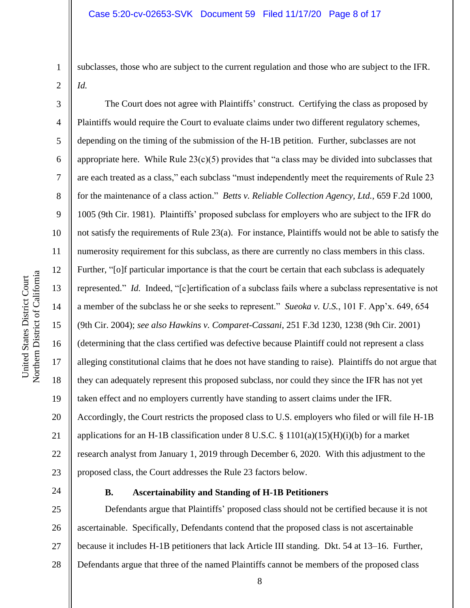subclasses, those who are subject to the current regulation and those who are subject to the IFR. *Id.* 

The Court does not agree with Plaintiffs' construct. Certifying the class as proposed by Plaintiffs would require the Court to evaluate claims under two different regulatory schemes, depending on the timing of the submission of the H-1B petition. Further, subclasses are not appropriate here. While Rule  $23(c)(5)$  provides that "a class may be divided into subclasses that are each treated as a class," each subclass "must independently meet the requirements of Rule 23 for the maintenance of a class action." *Betts v. Reliable Collection Agency, Ltd.*, 659 F.2d 1000, 1005 (9th Cir. 1981). Plaintiffs' proposed subclass for employers who are subject to the IFR do not satisfy the requirements of Rule 23(a). For instance, Plaintiffs would not be able to satisfy the numerosity requirement for this subclass, as there are currently no class members in this class. Further, "[o]f particular importance is that the court be certain that each subclass is adequately represented." *Id.* Indeed, "[c]ertification of a subclass fails where a subclass representative is not a member of the subclass he or she seeks to represent." *Sueoka v. U.S.*, 101 F. App'x. 649, 654 (9th Cir. 2004); *see also Hawkins v. Comparet-Cassani*, 251 F.3d 1230, 1238 (9th Cir. 2001) (determining that the class certified was defective because Plaintiff could not represent a class alleging constitutional claims that he does not have standing to raise). Plaintiffs do not argue that they can adequately represent this proposed subclass, nor could they since the IFR has not yet taken effect and no employers currently have standing to assert claims under the IFR. Accordingly, the Court restricts the proposed class to U.S. employers who filed or will file H-1B applications for an H-1B classification under 8 U.S.C. § 1101(a)(15)(H)(i)(b) for a market research analyst from January 1, 2019 through December 6, 2020. With this adjustment to the proposed class, the Court addresses the Rule 23 factors below.

2

3

4

5

6

7

8

9

10

11

12

13

14

15

16

17

18

19

20

21

22

23

1

24

#### **B. Ascertainability and Standing of H-1B Petitioners**

25 26 27 28 Defendants argue that Plaintiffs' proposed class should not be certified because it is not ascertainable. Specifically, Defendants contend that the proposed class is not ascertainable because it includes H-1B petitioners that lack Article III standing. Dkt. 54 at 13–16. Further, Defendants argue that three of the named Plaintiffs cannot be members of the proposed class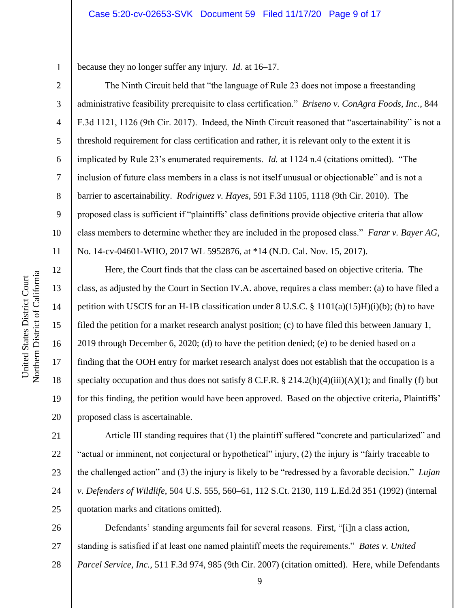#### Case 5:20-cv-02653-SVK Document 59 Filed 11/17/20 Page 9 of 17

because they no longer suffer any injury. *Id.* at 16–17.

The Ninth Circuit held that "the language of Rule 23 does not impose a freestanding administrative feasibility prerequisite to class certification." *Briseno v. ConAgra Foods, Inc.*, 844 F.3d 1121, 1126 (9th Cir. 2017). Indeed, the Ninth Circuit reasoned that "ascertainability" is not a threshold requirement for class certification and rather, it is relevant only to the extent it is implicated by Rule 23's enumerated requirements. *Id.* at 1124 n.4 (citations omitted). "The inclusion of future class members in a class is not itself unusual or objectionable" and is not a barrier to ascertainability. *Rodriguez v. Hayes*, 591 F.3d 1105, 1118 (9th Cir. 2010). The proposed class is sufficient if "plaintiffs' class definitions provide objective criteria that allow class members to determine whether they are included in the proposed class." *Farar v. Bayer AG*, No. 14-cv-04601-WHO, 2017 WL 5952876, at \*14 (N.D. Cal. Nov. 15, 2017).

Here, the Court finds that the class can be ascertained based on objective criteria. The class, as adjusted by the Court in Section IV.A. above, requires a class member: (a) to have filed a petition with USCIS for an H-1B classification under 8 U.S.C. § 1101(a)(15)H)(i)(b); (b) to have filed the petition for a market research analyst position; (c) to have filed this between January 1, 2019 through December 6, 2020; (d) to have the petition denied; (e) to be denied based on a finding that the OOH entry for market research analyst does not establish that the occupation is a specialty occupation and thus does not satisfy  $8 \text{ C.F.R.}$   $\frac{8}{9}$  214.2(h)(4)(iii)(A)(1); and finally (f) but for this finding, the petition would have been approved. Based on the objective criteria, Plaintiffs' proposed class is ascertainable.

21 22 23 24 25 Article III standing requires that (1) the plaintiff suffered "concrete and particularized" and "actual or imminent, not conjectural or hypothetical" injury, (2) the injury is "fairly traceable to the challenged action" and (3) the injury is likely to be "redressed by a favorable decision." *Lujan v. Defenders of Wildlife*, 504 U.S. 555, 560–61, 112 S.Ct. 2130, 119 L.Ed.2d 351 (1992) (internal quotation marks and citations omitted).

26 27 28 Defendants' standing arguments fail for several reasons. First, "[i]n a class action, standing is satisfied if at least one named plaintiff meets the requirements." *Bates v. United Parcel Service, Inc.*, 511 F.3d 974, 985 (9th Cir. 2007) (citation omitted). Here, while Defendants

1

2

3

4

5

6

7

8

9

10

11

12

13

14

15

16

17

18

19

20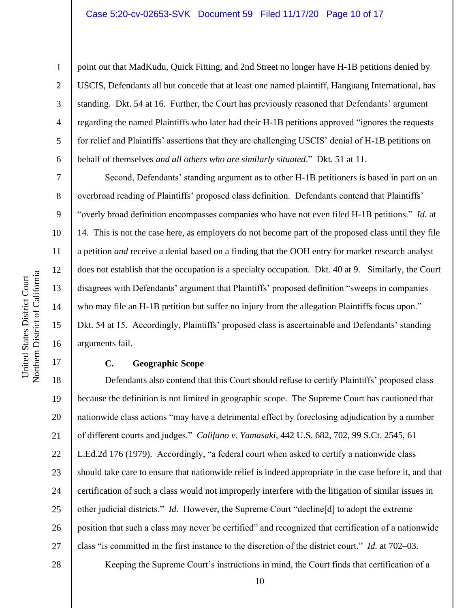point out that MadKudu, Quick Fitting, and 2nd Street no longer have H-1B petitions denied by USCIS, Defendants all but concede that at least one named plaintiff, Hanguang International, has standing. Dkt. 54 at 16. Further, the Court has previously reasoned that Defendants' argument regarding the named Plaintiffs who later had their H-1B petitions approved "ignores the requests for relief and Plaintiffs' assertions that they are challenging USCIS' denial of H-1B petitions on behalf of themselves *and all others who are similarly situated*." Dkt. 51 at 11.

Second, Defendants' standing argument as to other H-1B petitioners is based in part on an overbroad reading of Plaintiffs' proposed class definition. Defendants contend that Plaintiffs' "overly broad definition encompasses companies who have not even filed H-1B petitions." *Id.* at 14. This is not the case here, as employers do not become part of the proposed class until they file a petition *and* receive a denial based on a finding that the OOH entry for market research analyst does not establish that the occupation is a specialty occupation. Dkt. 40 at 9. Similarly, the Court disagrees with Defendants' argument that Plaintiffs' proposed definition "sweeps in companies who may file an H-1B petition but suffer no injury from the allegation Plaintiffs focus upon." Dkt. 54 at 15. Accordingly, Plaintiffs' proposed class is ascertainable and Defendants' standing arguments fail.

# **C. Geographic Scope**

18 19 20 21 22 23 24 25 26 27 Defendants also contend that this Court should refuse to certify Plaintiffs' proposed class because the definition is not limited in geographic scope. The Supreme Court has cautioned that nationwide class actions "may have a detrimental effect by foreclosing adjudication by a number of different courts and judges." *Califano v. Yamasaki*, 442 U.S. 682, 702, 99 S.Ct. 2545, 61 L.Ed.2d 176 (1979). Accordingly, "a federal court when asked to certify a nationwide class should take care to ensure that nationwide relief is indeed appropriate in the case before it, and that certification of such a class would not improperly interfere with the litigation of similar issues in other judicial districts." *Id.* However, the Supreme Court "decline[d] to adopt the extreme position that such a class may never be certified" and recognized that certification of a nationwide class "is committed in the first instance to the discretion of the district court." *Id.* at 702–03.

Northern District of California Northern District of California United States District Court United States District Court

1

2

3

4

5

6

7

8

9

10

11

12

13

14

15

16

17

28

Keeping the Supreme Court's instructions in mind, the Court finds that certification of a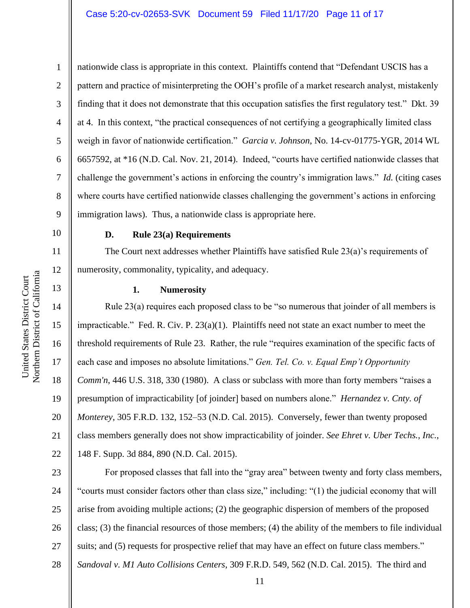## Case 5:20-cv-02653-SVK Document 59 Filed 11/17/20 Page 11 of 17

10

11

12

13

14

15

16

17

18

19

20

21

22

1 2 3 4 5 6 7 8 9 nationwide class is appropriate in this context. Plaintiffs contend that "Defendant USCIS has a pattern and practice of misinterpreting the OOH's profile of a market research analyst, mistakenly finding that it does not demonstrate that this occupation satisfies the first regulatory test." Dkt. 39 at 4. In this context, "the practical consequences of not certifying a geographically limited class weigh in favor of nationwide certification." *Garcia v. Johnson*, No. 14-cv-01775-YGR, 2014 WL 6657592, at \*16 (N.D. Cal. Nov. 21, 2014). Indeed, "courts have certified nationwide classes that challenge the government's actions in enforcing the country's immigration laws." *Id.* (citing cases where courts have certified nationwide classes challenging the government's actions in enforcing immigration laws). Thus, a nationwide class is appropriate here.

**D. Rule 23(a) Requirements**

The Court next addresses whether Plaintiffs have satisfied Rule 23(a)'s requirements of numerosity, commonality, typicality, and adequacy.

#### **1. Numerosity**

Rule 23(a) requires each proposed class to be "so numerous that joinder of all members is impracticable." Fed. R. Civ. P. 23(a)(1). Plaintiffs need not state an exact number to meet the threshold requirements of Rule 23. Rather, the rule "requires examination of the specific facts of each case and imposes no absolute limitations." *Gen. Tel. Co. v. Equal Emp't Opportunity Comm'n*, 446 U.S. 318, 330 (1980). A class or subclass with more than forty members "raises a presumption of impracticability [of joinder] based on numbers alone." *Hernandez v. Cnty. of Monterey*, 305 F.R.D. 132, 152–53 (N.D. Cal. 2015). Conversely, fewer than twenty proposed class members generally does not show impracticability of joinder. *See Ehret v. Uber Techs., Inc.*, 148 F. Supp. 3d 884, 890 (N.D. Cal. 2015).

23 24 25 26 27 28 For proposed classes that fall into the "gray area" between twenty and forty class members, "courts must consider factors other than class size," including: "(1) the judicial economy that will arise from avoiding multiple actions; (2) the geographic dispersion of members of the proposed class; (3) the financial resources of those members; (4) the ability of the members to file individual suits; and (5) requests for prospective relief that may have an effect on future class members." *Sandoval v. M1 Auto Collisions Centers*, 309 F.R.D. 549, 562 (N.D. Cal. 2015). The third and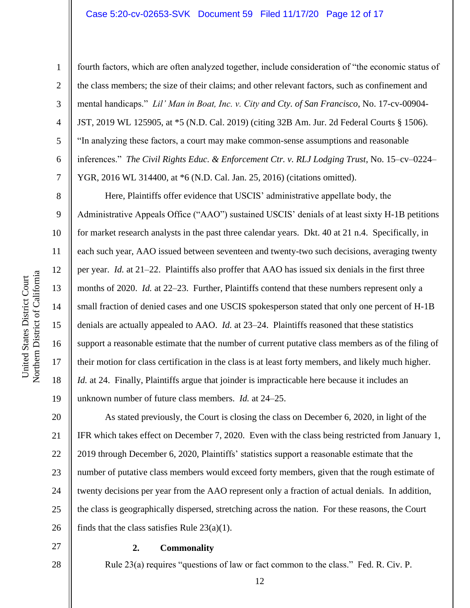## Case 5:20-cv-02653-SVK Document 59 Filed 11/17/20 Page 12 of 17

1

2

3

4

5

6

7

8

9

10

11

12

13

14

15

16

17

18

19

fourth factors, which are often analyzed together, include consideration of "the economic status of the class members; the size of their claims; and other relevant factors, such as confinement and mental handicaps." *Lil' Man in Boat, Inc. v. City and Cty. of San Francisco*, No. 17-cv-00904- JST, 2019 WL 125905, at \*5 (N.D. Cal. 2019) (citing 32B Am. Jur. 2d Federal Courts § 1506). "In analyzing these factors, a court may make common-sense assumptions and reasonable inferences." *The Civil Rights Educ. & Enforcement Ctr. v. RLJ Lodging Trust*, No. 15–cv–0224– YGR, 2016 WL 314400, at \*6 (N.D. Cal. Jan. 25, 2016) (citations omitted).

Here, Plaintiffs offer evidence that USCIS' administrative appellate body, the Administrative Appeals Office ("AAO") sustained USCIS' denials of at least sixty H-1B petitions for market research analysts in the past three calendar years. Dkt. 40 at 21 n.4. Specifically, in each such year, AAO issued between seventeen and twenty-two such decisions, averaging twenty per year. *Id.* at 21–22.Plaintiffs also proffer that AAO has issued six denials in the first three months of 2020. *Id.* at 22–23. Further, Plaintiffs contend that these numbers represent only a small fraction of denied cases and one USCIS spokesperson stated that only one percent of H-1B denials are actually appealed to AAO. *Id.* at 23–24. Plaintiffs reasoned that these statistics support a reasonable estimate that the number of current putative class members as of the filing of their motion for class certification in the class is at least forty members, and likely much higher. *Id.* at 24. Finally, Plaintiffs argue that joinder is impracticable here because it includes an unknown number of future class members. *Id.* at 24–25.

20 21 22 23 24 25 26 As stated previously, the Court is closing the class on December 6, 2020, in light of the IFR which takes effect on December 7, 2020. Even with the class being restricted from January 1, 2019 through December 6, 2020, Plaintiffs' statistics support a reasonable estimate that the number of putative class members would exceed forty members, given that the rough estimate of twenty decisions per year from the AAO represent only a fraction of actual denials. In addition, the class is geographically dispersed, stretching across the nation. For these reasons, the Court finds that the class satisfies Rule 23(a)(1).

27 28

## **2. Commonality**

Rule 23(a) requires "questions of law or fact common to the class." Fed. R. Civ. P.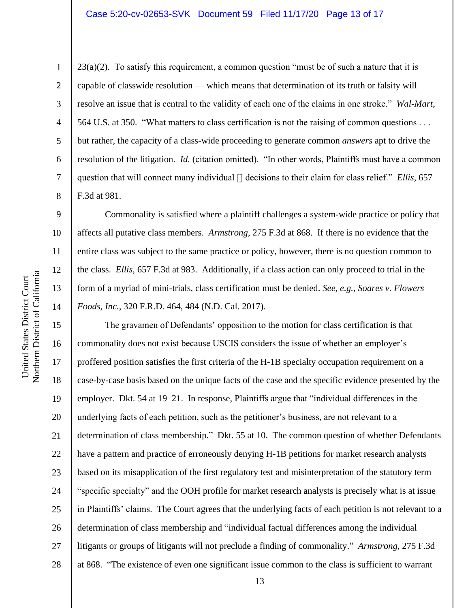## Case 5:20-cv-02653-SVK Document 59 Filed 11/17/20 Page 13 of 17

 $23(a)(2)$ . To satisfy this requirement, a common question "must be of such a nature that it is capable of classwide resolution — which means that determination of its truth or falsity will resolve an issue that is central to the validity of each one of the claims in one stroke." *Wal-Mart*, 564 U.S. at 350. "What matters to class certification is not the raising of common questions . . . but rather, the capacity of a class-wide proceeding to generate common *answers* apt to drive the resolution of the litigation. *Id.* (citation omitted). "In other words, Plaintiffs must have a common question that will connect many individual [] decisions to their claim for class relief." *Ellis*, 657 F.3d at 981.

Commonality is satisfied where a plaintiff challenges a system-wide practice or policy that affects all putative class members. *Armstrong*, 275 F.3d at 868. If there is no evidence that the entire class was subject to the same practice or policy, however, there is no question common to the class. *Ellis*, 657 F.3d at 983. Additionally, if a class action can only proceed to trial in the form of a myriad of mini-trials, class certification must be denied. *See, e.g.*, *Soares v. Flowers Foods, Inc.*, 320 F.R.D. 464, 484 (N.D. Cal. 2017).

The gravamen of Defendants' opposition to the motion for class certification is that commonality does not exist because USCIS considers the issue of whether an employer's proffered position satisfies the first criteria of the H-1B specialty occupation requirement on a case-by-case basis based on the unique facts of the case and the specific evidence presented by the employer. Dkt. 54 at 19–21. In response, Plaintiffs argue that "individual differences in the underlying facts of each petition, such as the petitioner's business, are not relevant to a determination of class membership." Dkt. 55 at 10. The common question of whether Defendants have a pattern and practice of erroneously denying H-1B petitions for market research analysts based on its misapplication of the first regulatory test and misinterpretation of the statutory term "specific specialty" and the OOH profile for market research analysts is precisely what is at issue in Plaintiffs' claims. The Court agrees that the underlying facts of each petition is not relevant to a determination of class membership and "individual factual differences among the individual litigants or groups of litigants will not preclude a finding of commonality." *Armstrong*, 275 F.3d at 868. "The existence of even one significant issue common to the class is sufficient to warrant

1

2

3

4

5

6

7

8

9

10

11

12

13

14

15

16

17

18

19

20

21

22

23

24

25

26

27

28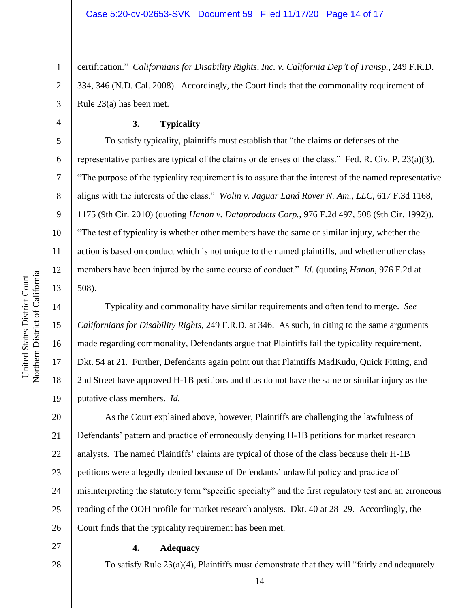1 2 3 certification." *Californians for Disability Rights, Inc. v. California Dep't of Transp.*, 249 F.R.D. 334, 346 (N.D. Cal. 2008). Accordingly, the Court finds that the commonality requirement of Rule 23(a) has been met.

#### **3. Typicality**

To satisfy typicality, plaintiffs must establish that "the claims or defenses of the representative parties are typical of the claims or defenses of the class." Fed. R. Civ. P. 23(a)(3). "The purpose of the typicality requirement is to assure that the interest of the named representative aligns with the interests of the class." *Wolin v. Jaguar Land Rover N. Am., LLC*, 617 F.3d 1168, 1175 (9th Cir. 2010) (quoting *Hanon v. Dataproducts Corp.*, 976 F.2d 497, 508 (9th Cir. 1992)). "The test of typicality is whether other members have the same or similar injury, whether the action is based on conduct which is not unique to the named plaintiffs, and whether other class members have been injured by the same course of conduct." *Id.* (quoting *Hanon*, 976 F.2d at 508).

Typicality and commonality have similar requirements and often tend to merge. *See Californians for Disability Rights*, 249 F.R.D. at 346. As such, in citing to the same arguments made regarding commonality, Defendants argue that Plaintiffs fail the typicality requirement. Dkt. 54 at 21. Further, Defendants again point out that Plaintiffs MadKudu, Quick Fitting, and 2nd Street have approved H-1B petitions and thus do not have the same or similar injury as the putative class members. *Id.*

20 21 22 23 24 25 26 As the Court explained above, however, Plaintiffs are challenging the lawfulness of Defendants' pattern and practice of erroneously denying H-1B petitions for market research analysts. The named Plaintiffs' claims are typical of those of the class because their H-1B petitions were allegedly denied because of Defendants' unlawful policy and practice of misinterpreting the statutory term "specific specialty" and the first regulatory test and an erroneous reading of the OOH profile for market research analysts. Dkt. 40 at 28–29. Accordingly, the Court finds that the typicality requirement has been met.

27

28

## **4. Adequacy**

To satisfy Rule 23(a)(4), Plaintiffs must demonstrate that they will "fairly and adequately

4

5

6

7

8

9

10

11

12

13

14

15

16

17

18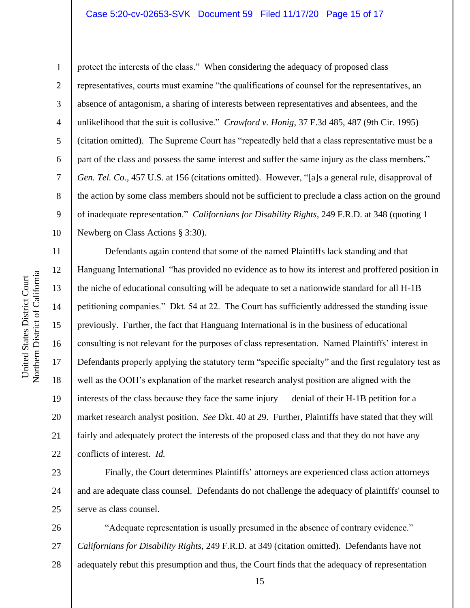## Case 5:20-cv-02653-SVK Document 59 Filed 11/17/20 Page 15 of 17

Northern District of California Northern District of California United States District Court United States District Court

1 2 3 4 5 6 7 8 9 10 protect the interests of the class." When considering the adequacy of proposed class representatives, courts must examine "the qualifications of counsel for the representatives, an absence of antagonism, a sharing of interests between representatives and absentees, and the unlikelihood that the suit is collusive." *Crawford v. Honig*, 37 F.3d 485, 487 (9th Cir. 1995) (citation omitted). The Supreme Court has "repeatedly held that a class representative must be a part of the class and possess the same interest and suffer the same injury as the class members." *Gen. Tel. Co.*, 457 U.S. at 156 (citations omitted). However, "[a]s a general rule, disapproval of the action by some class members should not be sufficient to preclude a class action on the ground of inadequate representation." *Californians for Disability Rights*, 249 F.R.D. at 348 (quoting 1 Newberg on Class Actions § 3:30).

11 12 13 14 15 16 17 18 19 20 21 22 Defendants again contend that some of the named Plaintiffs lack standing and that Hanguang International "has provided no evidence as to how its interest and proffered position in the niche of educational consulting will be adequate to set a nationwide standard for all H-1B petitioning companies." Dkt. 54 at 22. The Court has sufficiently addressed the standing issue previously. Further, the fact that Hanguang International is in the business of educational consulting is not relevant for the purposes of class representation. Named Plaintiffs' interest in Defendants properly applying the statutory term "specific specialty" and the first regulatory test as well as the OOH's explanation of the market research analyst position are aligned with the interests of the class because they face the same injury — denial of their H-1B petition for a market research analyst position. *See* Dkt. 40 at 29. Further, Plaintiffs have stated that they will fairly and adequately protect the interests of the proposed class and that they do not have any conflicts of interest. *Id.* 

23 24 25 Finally, the Court determines Plaintiffs' attorneys are experienced class action attorneys and are adequate class counsel. Defendants do not challenge the adequacy of plaintiffs' counsel to serve as class counsel.

26 27 28 "Adequate representation is usually presumed in the absence of contrary evidence." *Californians for Disability Rights*, 249 F.R.D. at 349 (citation omitted). Defendants have not adequately rebut this presumption and thus, the Court finds that the adequacy of representation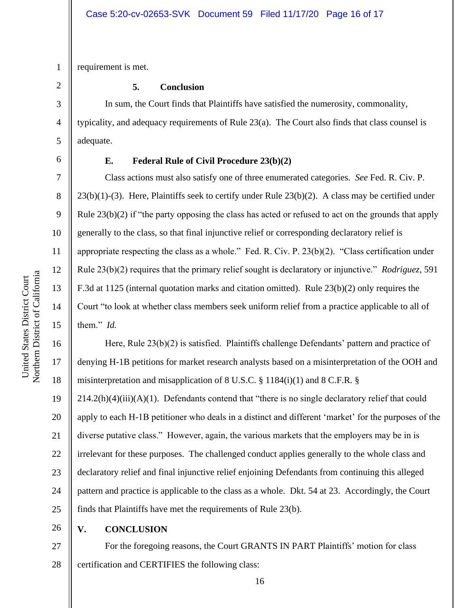1 requirement is met.

#### **5. Conclusion**

In sum, the Court finds that Plaintiffs have satisfied the numerosity, commonality, typicality, and adequacy requirements of Rule 23(a). The Court also finds that class counsel is adequate.

2

3

4

5

6

7

8

9

10

11

12

13

14

15

16

17

18

### **E. Federal Rule of Civil Procedure 23(b)(2)**

Class actions must also satisfy one of three enumerated categories. *See* Fed. R. Civ. P. 23(b)(1)-(3). Here, Plaintiffs seek to certify under Rule 23(b)(2). A class may be certified under Rule 23(b)(2) if "the party opposing the class has acted or refused to act on the grounds that apply generally to the class, so that final injunctive relief or corresponding declaratory relief is appropriate respecting the class as a whole." Fed. R. Civ. P. 23(b)(2). "Class certification under Rule 23(b)(2) requires that the primary relief sought is declaratory or injunctive." *Rodriguez*, 591 F.3d at 1125 (internal quotation marks and citation omitted). Rule 23(b)(2) only requires the Court "to look at whether class members seek uniform relief from a practice applicable to all of them." *Id.* 

Here, Rule 23(b)(2) is satisfied. Plaintiffs challenge Defendants' pattern and practice of denying H-1B petitions for market research analysts based on a misinterpretation of the OOH and misinterpretation and misapplication of 8 U.S.C. § 1184(i)(1) and 8 C.F.R. §

19 20 21 22 23 24 25  $214.2(h)(4)(iii)(A)(1)$ . Defendants contend that "there is no single declaratory relief that could apply to each H-1B petitioner who deals in a distinct and different 'market' for the purposes of the diverse putative class." However, again, the various markets that the employers may be in is irrelevant for these purposes. The challenged conduct applies generally to the whole class and declaratory relief and final injunctive relief enjoining Defendants from continuing this alleged pattern and practice is applicable to the class as a whole. Dkt. 54 at 23. Accordingly, the Court finds that Plaintiffs have met the requirements of Rule 23(b).

26

# **V. CONCLUSION**

27 28 For the foregoing reasons, the Court GRANTS IN PART Plaintiffs' motion for class certification and CERTIFIES the following class: